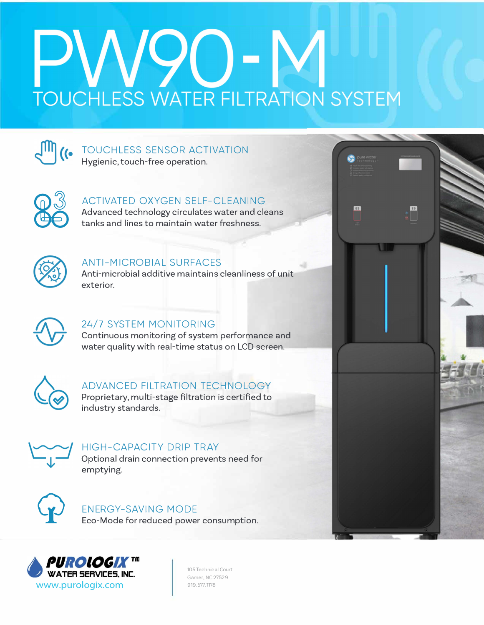# **TOUCHLESS WATER FILTRATION SYSTEM**

 $\begin{picture}(120,15) \put(0,0){\line(1,0){155}} \put(15,0){\line(1,0){155}} \put(15,0){\line(1,0){155}} \put(15,0){\line(1,0){155}} \put(15,0){\line(1,0){155}} \put(15,0){\line(1,0){155}} \put(15,0){\line(1,0){155}} \put(15,0){\line(1,0){155}} \put(15,0){\line(1,0){155}} \put(15,0){\line(1,0){155}} \put(15,0){\line(1,0){155}}$ 

 $\bullet$ 



#### TOUCHLESS SENSOR ACTIVATION Hygienic, touch-free operation.



#### ACTIVATED OXYGEN SELF-CLEANING

Advanced technology circulates water and cleans tanks and lines to maintain water freshness.



#### ANTI-MICROBIAL SURFACES

Anti-microbial additive maintains cleanliness of unit exterior.



#### 24/7 SYSTEM MONITORING

**Continuous monitoring of system performance and water quality with real-time status on LCD screen.** 



#### ADVANCED FILTRATION TECHNOLOGY

**Proprietary, multi-stage filtration is certified to industry standards.** 



#### HIGH-CAPACITY DRIP TRAY

**Optional drain connection prevents need for emptying.** 



#### ENERGY-SAVING MODE

**Eco-Mode for reduced power consumption.** 



105 Technical Court Garner, NC 27529